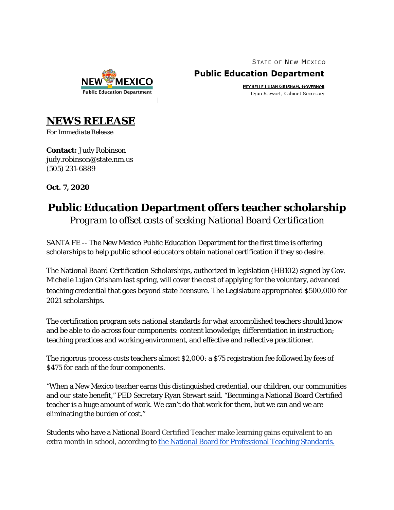**STATE OF NEW MEXICO** 

## **NEW Public Education Department**

**Public Education Department MICHELLE LUJAN GRISHAM, GOVERNOR** 

Ryan Stewart, Cabinet Secretary

**NEWS RELEASE**

*For Immediate Release*

**Contact:** Judy Robinson judy.robinson@state.nm.us (505) 231-6889

**Oct. 7, 2020**

## **Public Education Department offers teacher scholarship**

*Program to offset costs of seeking National Board Certification*

SANTA FE -- The New Mexico Public Education Department for the first time is offering scholarships to help public school educators obtain national certification if they so desire.

The National Board Certification Scholarships, authorized in legislation (HB102) signed by Gov. Michelle Lujan Grisham last spring, will cover the cost of applying for the voluntary, advanced teaching credential that goes beyond state licensure. The Legislature appropriated \$500,000 for 2021 scholarships.

The certification program sets national standards for what accomplished teachers should know and be able to do across four components: content knowledge; differentiation in instruction; teaching practices and working environment, and effective and reflective practitioner.

The rigorous process costs teachers almost \$2,000: a \$75 registration fee followed by fees of \$475 for each of the four components.

"When a New Mexico teacher earns this distinguished credential, our children, our communities and our state benefit," PED Secretary Ryan Stewart said. "Becoming a National Board Certified teacher is a huge amount of work. We can't do that work for them, but we can and we are eliminating the burden of cost."

Students who have a National Board Certified Teacher make learning gains equivalent to an extra month in school, according to [the National Board for Professional Teaching Standards.](https://www.nbpts.org/research/)